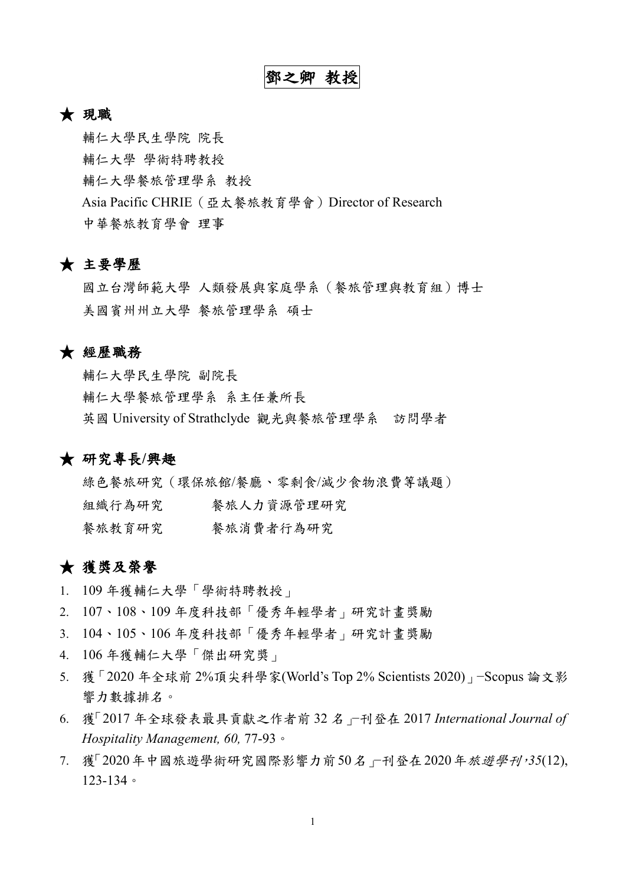### ★ 現職

輔仁大學民生學院 院長 輔仁大學 學術特聘教授 輔仁大學餐旅管理學系 教授 Asia Pacific CHRIE(亞太餐旅教育學會)Director of Research 中華餐旅教育學會 理事

## ★ 主要學歷

國立台灣師範大學 人類發展與家庭學系(餐旅管理與教育組)博士 美國賓州州立大學 餐旅管理學系 碩士

#### ★ 經歷職務

輔仁大學民生學院 副院長 輔仁大學餐旅管理學系 系主任兼所長 英國 University of Strathclyde 觀光與餐旅管理學系 訪問學者

### ★ 研究專長**/**興趣

綠色餐旅研究(環保旅館/餐廳、零剩食/減少食物浪費等議題) 組織行為研究 餐旅人力資源管理研究 餐旅教育研究 餐旅消費者行為研究

## ★ 獲獎及榮譽

- 1. 109 年獲輔仁大學「學術特聘教授」
- 2. 107、108、109 年度科技部「優秀年輕學者」研究計畫獎勵
- 3. 104、105、106 年度科技部「優秀年輕學者」研究計畫獎勵
- 4. 106 年獲輔仁大學「傑出研究獎」
- 5. 獲「2020 年全球前 2%頂尖科學家(World's Top 2% Scientists 2020)」−Scopus 論文影 響力數據排名。
- 6. 獲「2017 年全球發表最具貢獻之作者前 32 名」−刊登在 2017 *International Journal of Hospitality Management, 60,* 77-93。
- 7. 獲「2020年中國旅遊學術研究國際影響力前50名」−刊登在2020年旅遊學刊,*35*(12), 123-134。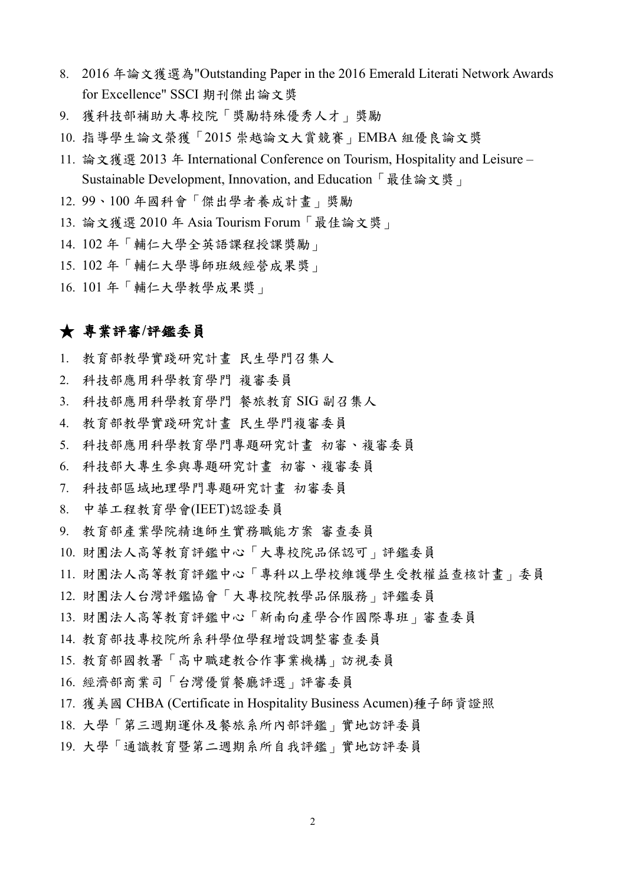- 8. 2016 年論文獲選為"Outstanding Paper in the 2016 Emerald Literati Network Awards for Excellence" SSCI 期刊傑出論文獎
- 9. 獲科技部補助大專校院「獎勵特殊優秀人才」獎勵
- 10. 指導學生論文榮獲「2015 崇越論文大賞競賽」EMBA 組優良論文獎
- 11. 論文獲選 2013 年 International Conference on Tourism, Hospitality and Leisure Sustainable Development, Innovation, and Education「最佳論文獎」
- 12. 99、100 年國科會「傑出學者養成計畫」獎勵
- 13. 論文獲選 2010 年 Asia Tourism Forum「最佳論文獎」
- 14. 102 年「輔仁大學全英語課程授課獎勵」
- 15. 102 年「輔仁大學導師班級經營成果獎」
- 16. 101 年「輔仁大學教學成果獎」

### ★ 專業評審**/**評鑑委員

- 1. 教育部教學實踐研究計畫 民生學門召集人
- 2. 科技部應用科學教育學門 複審委員
- 3. 科技部應用科學教育學門 餐旅教育 SIG 副召集人
- 4. 教育部教學實踐研究計畫 民生學門複審委員
- 5. 科技部應用科學教育學門專題研究計畫 初審、複審委員
- 6. 科技部大專生參與專題研究計畫 初審、複審委員
- 7. 科技部區域地理學門專題研究計畫 初審委員
- 8. 中華工程教育學會(IEET)認證委員
- 9. 教育部產業學院精進師生實務職能方案 審查委員
- 10. 財團法人高等教育評鑑中心「大專校院品保認可」評鑑委員
- 11. 財團法人高等教育評鑑中心「專科以上學校維護學生受教權益查核計畫」委員
- 12. 財團法人台灣評鑑協會「大專校院教學品保服務」評鑑委員
- 13. 財團法人高等教育評鑑中心「新南向產學合作國際專班」審查委員
- 14. 教育部技專校院所系科學位學程增設調整審查委員
- 15. 教育部國教署「高中職建教合作事業機構」訪視委員
- 16. 經濟部商業司「台灣優質餐廳評選」評審委員
- 17. 獲美國 CHBA (Certificate in Hospitality Business Acumen)種子師資證照
- 18. 大學「第三週期運休及餐旅系所內部評鑑」實地訪評委員
- 19. 大學「通識教育暨第二週期系所自我評鑑」實地訪評委員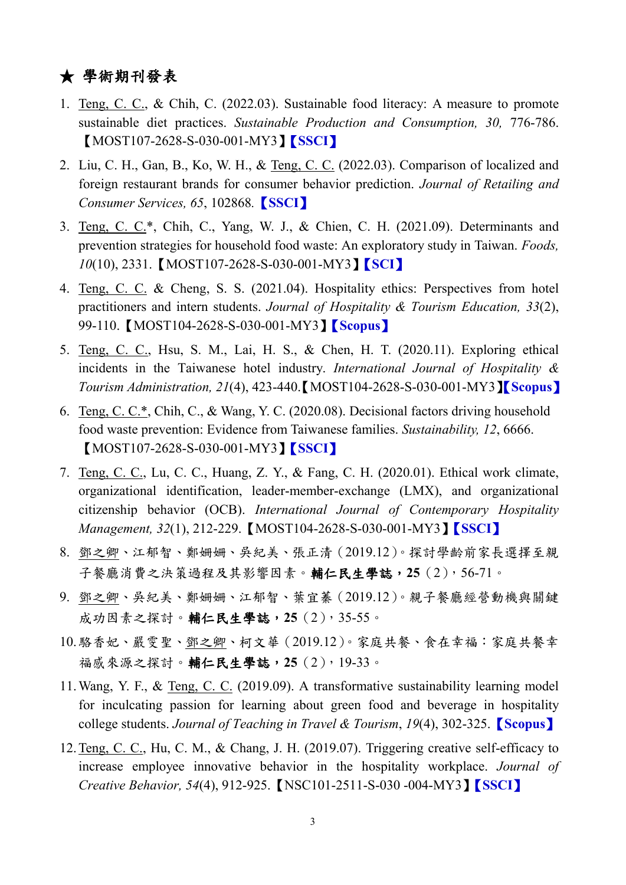# ★ 學術期刊發表

- 1. Teng, C. C., & Chih, C. (2022.03). Sustainable food literacy: A measure to promote sustainable diet practices. *Sustainable Production and Consumption, 30,* 776-786. 【MOST107-2628-S-030-001-MY3】【**SSCI**】
- 2. Liu, C. H., Gan, B., Ko, W. H., & Teng, C. C. (2022.03). Comparison of localized and foreign restaurant brands for consumer behavior prediction. *Journal of Retailing and Consumer Services, 65*, 102868*.*【**SSCI**】
- 3. Teng, C. C.\*, Chih, C., Yang, W. J., & Chien, C. H. (2021.09). Determinants and prevention strategies for household food waste: An exploratory study in Taiwan. *Foods, 10*(10), 2331.【MOST107-2628-S-030-001-MY3】【**SCI**】
- 4. Teng, C. C. & Cheng, S. S. (2021.04). Hospitality ethics: Perspectives from hotel practitioners and intern students. *Journal of Hospitality & Tourism Education, 33*(2), 99-110.【MOST104-2628-S-030-001-MY3】【**Scopus**】
- 5. Teng, C. C., Hsu, S. M., Lai, H. S., & Chen, H. T. (2020.11). Exploring ethical incidents in the Taiwanese hotel industry. *International Journal of Hospitality & Tourism Administration, 21*(4), 423-440.【MOST104-2628-S-030-001-MY3】【**Scopus**】
- 6. Teng, C. C.\*, Chih, C., & Wang, Y. C. (2020.08). Decisional factors driving household food waste prevention: Evidence from Taiwanese families. *Sustainability, 12*, 6666. 【MOST107-2628-S-030-001-MY3】【**SSCI**】
- 7. Teng, C. C., Lu, C. C., Huang, Z. Y., & Fang, C. H. (2020.01). Ethical work climate, organizational identification, leader-member-exchange (LMX), and organizational citizenship behavior (OCB). *International Journal of Contemporary Hospitality Management, 32*(1), 212-229.【MOST104-2628-S-030-001-MY3】【**SSCI**】
- 8. 鄧之卿、江郁智、鄭姍姍、吳紀美、張正清(2019.12)。探討學齡前家長選擇至親 子餐廳消費之決策過程及其影響因素。輔仁民生學誌,**25**(2),56-71。
- 9. 鄧之卿、吳紀美、鄭姍姍、江郁智、葉宜蓁(2019.12)。親子餐廳經營動機與關鍵 成功因素之探討。輔仁民生學誌,**25**(2),35-55。
- 10.駱香妃、嚴雯聖、鄧之卿、柯文華(2019.12)。家庭共餐、食在幸福:家庭共餐幸 福感來源之探討。輔仁民生學誌,**25**(2),19-33。
- 11.Wang, Y. F., & Teng, C. C. (2019.09). A transformative sustainability learning model for inculcating passion for learning about green food and beverage in hospitality college students. *Journal of Teaching in Travel & Tourism*, *19*(4), 302-325.【**Scopus**】
- 12.Teng, C. C., Hu, C. M., & Chang, J. H. (2019.07). Triggering creative self-efficacy to increase employee innovative behavior in the hospitality workplace. *Journal of Creative Behavior, 54*(4), 912-925.【NSC101-2511-S-030 -004-MY3】【**SSCI**】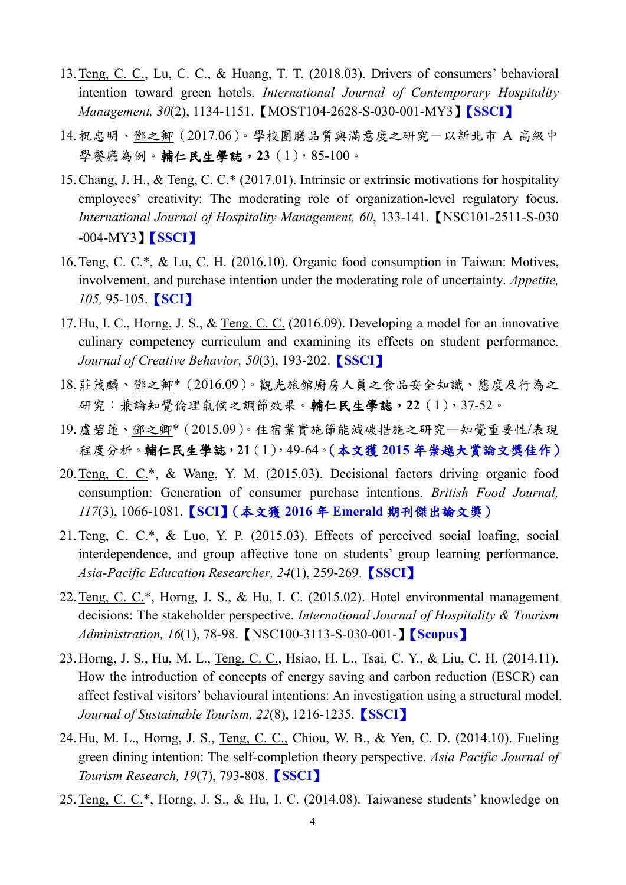- 13.Teng, C. C., Lu, C. C., & Huang, T. T. (2018.03). Drivers of consumers' behavioral intention toward green hotels. *International Journal of Contemporary Hospitality Management, 30*(2), 1134-1151.【MOST104-2628-S-030-001-MY3】【**SSCI**】
- 14.祝忠明、鄧之卿(2017.06)。學校團膳品質與滿意度之研究-以新北市 A 高級中 學餐廳為例。輔仁民生學誌,**23**(1),85-100。
- 15.Chang, J. H., & Teng, C. C.\* (2017.01). Intrinsic or extrinsic motivations for hospitality employees' creativity: The moderating role of organization-level regulatory focus. *International Journal of Hospitality Management, 60*, 133-141.【NSC101-2511-S-030 -004-MY3】【**SSCI**】
- 16.Teng, C. C.\*, & Lu, C. H. (2016.10). Organic food consumption in Taiwan: Motives, involvement, and purchase intention under the moderating role of uncertainty. *Appetite, 105,* 95-105.【**SCI**】
- 17.Hu, I. C., Horng, J. S., & Teng, C. C. (2016.09). Developing a model for an innovative culinary competency curriculum and examining its effects on student performance. *Journal of Creative Behavior, 50*(3), 193-202.【**SSCI**】
- 18.莊茂麟、鄧之卿\*(2016.09)。觀光旅館廚房人員之食品安全知識、態度及行為之 研究:兼論知覺倫理氣候之調節效果。輔仁民生學誌,**22**(1),37-52。
- 19.盧碧蓮、鄧之卿\*(2015.09)。住宿業實施節能減碳措施之研究—知覺重要性/表現 程度分析。輔仁民生學誌,**21**(1),49-64。(本文獲 **2015** 年崇越大賞論文獎佳作)
- 20.Teng, C. C.\*, & Wang, Y. M. (2015.03). Decisional factors driving organic food consumption: Generation of consumer purchase intentions. *British Food Journal, 117*(3), 1066-1081.【**SCI**】(本文獲 **2016** 年 **Emerald** 期刊傑出論文獎)
- 21.Teng, C. C.\*, & Luo, Y. P. (2015.03). Effects of perceived social loafing, social interdependence, and group affective tone on students' group learning performance. *Asia-Pacific Education Researcher, 24*(1), 259-269.【**SSCI**】
- 22.Teng, C. C.\*, Horng, J. S., & Hu, I. C. (2015.02). Hotel environmental management decisions: The stakeholder perspective. *International Journal of Hospitality & Tourism Administration, 16*(1), 78-98.【NSC100-3113-S-030-001-】【**Scopus**】
- 23.Horng, J. S., Hu, M. L., Teng, C. C., Hsiao, H. L., Tsai, C. Y., & Liu, C. H. (2014.11). How the introduction of concepts of energy saving and carbon reduction (ESCR) can affect festival visitors' behavioural intentions: An investigation using a structural model. *Journal of Sustainable Tourism, 22*(8), 1216-1235.【**SSCI**】
- 24.Hu, M. L., Horng, J. S., Teng, C. C., Chiou, W. B., & Yen, C. D. (2014.10). Fueling green dining intention: The self-completion theory perspective. *Asia Pacific Journal of Tourism Research, 19*(7), 793-808.【**SSCI**】
- 25.Teng, C. C.\*, Horng, J. S., & Hu, I. C. (2014.08). Taiwanese students' knowledge on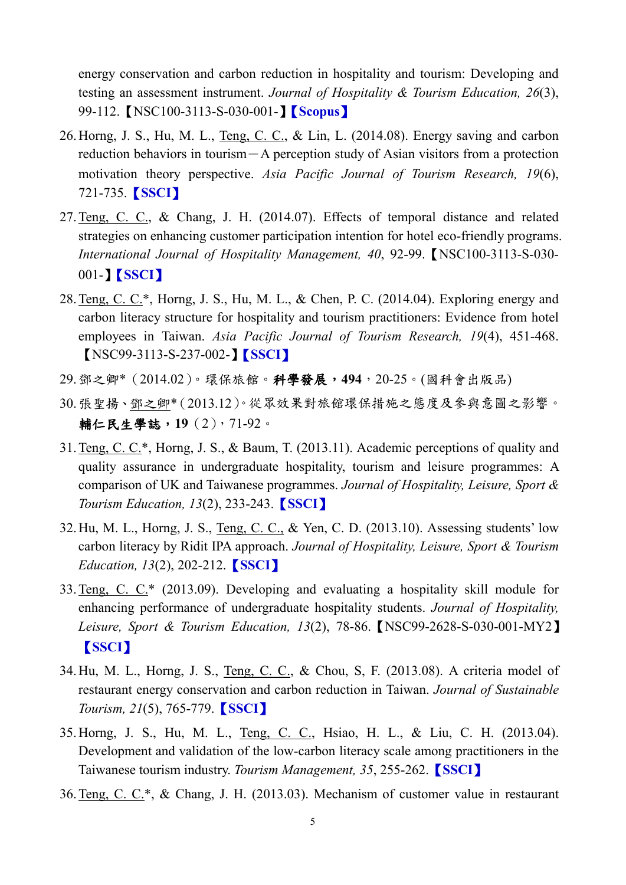energy conservation and carbon reduction in hospitality and tourism: Developing and testing an assessment instrument. *Journal of Hospitality & Tourism Education, 26*(3), 99-112.【NSC100-3113-S-030-001-】【**Scopus**】

- 26.Horng, J. S., Hu, M. L., Teng, C. C., & Lin, L. (2014.08). Energy saving and carbon reduction behaviors in tourism-A perception study of Asian visitors from a protection motivation theory perspective. *Asia Pacific Journal of Tourism Research, 19*(6), 721-735.【**SSCI**】
- 27.Teng, C. C., & Chang, J. H. (2014.07). Effects of temporal distance and related strategies on enhancing customer participation intention for hotel eco-friendly programs. *International Journal of Hospitality Management, 40*, 92-99.【NSC100-3113-S-030- 001-】【**SSCI**】
- 28.Teng, C. C.\*, Horng, J. S., Hu, M. L., & Chen, P. C. (2014.04). Exploring energy and carbon literacy structure for hospitality and tourism practitioners: Evidence from hotel employees in Taiwan. *Asia Pacific Journal of Tourism Research, 19*(4), 451-468. 【NSC99-3113-S-237-002-】【**SSCI**】
- 29.鄧之卿\*(2014.02)。環保旅館。科學發展,**494**,20-25。(國科會出版品)
- 30.張聖揚、鄧之卿\*(2013.12)。從眾效果對旅館環保措施之態度及參與意圖之影響。 輔仁民生學誌,**19**(2),71-92。
- 31.Teng, C. C.\*, Horng, J. S., & Baum, T. (2013.11). Academic perceptions of quality and quality assurance in undergraduate hospitality, tourism and leisure programmes: A comparison of UK and Taiwanese programmes. *Journal of Hospitality, Leisure, Sport & Tourism Education, 13*(2), 233-243.【**SSCI**】
- 32.Hu, M. L., Horng, J. S., Teng, C. C., & Yen, C. D. (2013.10). Assessing students' low carbon literacy by Ridit IPA approach. *Journal of Hospitality, Leisure, Sport & Tourism Education, 13*(2), 202-212.【**SSCI**】
- 33.Teng, C. C.\* (2013.09). Developing and evaluating a hospitality skill module for enhancing performance of undergraduate hospitality students. *Journal of Hospitality, Leisure, Sport & Tourism Education, 13*(2), 78-86.【NSC99-2628-S-030-001-MY2】 【**SSCI**】
- 34.Hu, M. L., Horng, J. S., Teng, C. C., & Chou, S, F. (2013.08). A criteria model of restaurant energy conservation and carbon reduction in Taiwan. *Journal of Sustainable Tourism, 21*(5), 765-779.【**SSCI**】
- 35.Horng, J. S., Hu, M. L., Teng, C. C., Hsiao, H. L., & Liu, C. H. (2013.04). Development and validation of the low-carbon literacy scale among practitioners in the Taiwanese tourism industry. *Tourism Management, 35*, 255-262.【**SSCI**】
- 36.Teng, C. C.\*, & Chang, J. H. (2013.03). Mechanism of customer value in restaurant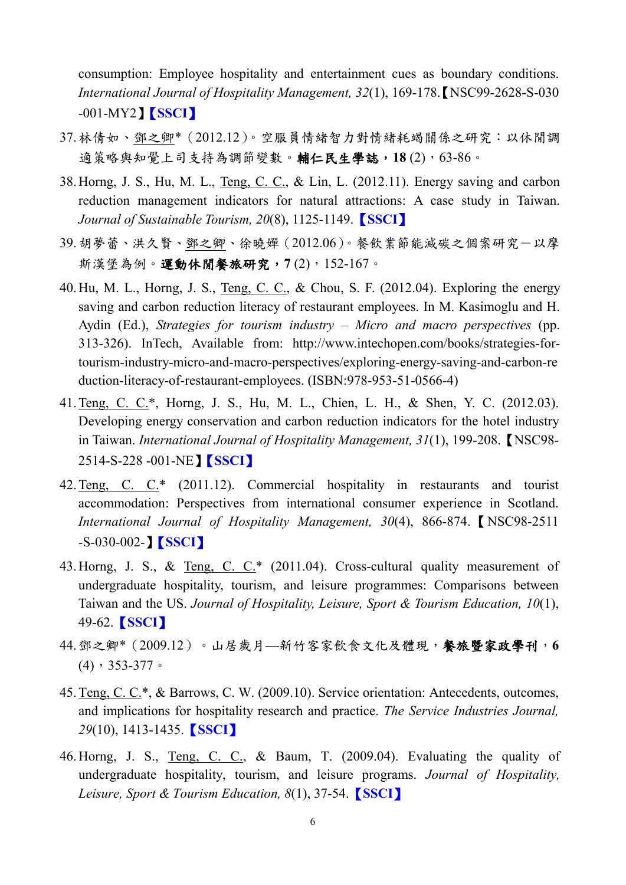consumption: Employee hospitality and entertainment cues as boundary conditions. *International Journal of Hospitality Management, 32*(1), 169-178.【NSC99-2628-S-030 -001-MY2】【**SSCI**】

- 37.林倩如、鄧之卿\*(2012.12)。空服員情緒智力對情緒耗竭關係之研究:以休閒調 適策略與知覺上司支持為調節變數。**輔仁民生學誌,18** (2), 63-86。
- 38.Horng, J. S., Hu, M. L., Teng, C. C., & Lin, L. (2012.11). Energy saving and carbon reduction management indicators for natural attractions: A case study in Taiwan. *Journal of Sustainable Tourism, 20*(8), 1125-1149.【**SSCI**】
- 39.胡夢蕾、洪久賢、鄧之卿、徐曉嬋(2012.06)。餐飲業節能減碳之個案研究-以摩 斯漢堡為例。運動休閒餐旅研究,**7** (2),152-167。
- 40.Hu, M. L., Horng, J. S., Teng, C. C., & Chou, S. F. (2012.04). Exploring the energy saving and carbon reduction literacy of restaurant employees. In M. Kasimoglu and H. Aydin (Ed.), *Strategies for tourism industry – Micro and macro perspectives* (pp. 313-326). InTech, Available from: http://www.intechopen.com/books/strategies-fortourism-industry-micro-and-macro-perspectives/exploring-energy-saving-and-carbon-re duction-literacy-of-restaurant-employees. (ISBN:978-953-51-0566-4)
- 41.Teng, C. C.\*, Horng, J. S., Hu, M. L., Chien, L. H., & Shen, Y. C. (2012.03). Developing energy conservation and carbon reduction indicators for the hotel industry in Taiwan. *International Journal of Hospitality Management, 31*(1), 199-208.【NSC98- 2514-S-228 -001-NE】【**SSCI**】
- 42.Teng, C. C.\* (2011.12). Commercial hospitality in restaurants and tourist accommodation: Perspectives from international consumer experience in Scotland. *International Journal of Hospitality Management, 30*(4), 866-874.【NSC98-2511 -S-030-002-】【**SSCI**】
- 43.Horng, J. S., & Teng, C. C.\* (2011.04). Cross-cultural quality measurement of undergraduate hospitality, tourism, and leisure programmes: Comparisons between Taiwan and the US. *Journal of Hospitality, Leisure, Sport & Tourism Education, 10*(1), 49-62.【**SSCI**】
- 44.鄧之卿\*(2009.12)。山居歲月—新竹客家飲食文化及體現,餐旅暨家政學刊,**6**  (4),353-377。
- 45.Teng, C. C.\*, & Barrows, C. W. (2009.10). Service orientation: Antecedents, outcomes, and implications for hospitality research and practice. *The Service Industries Journal, 29*(10), 1413-1435.【**SSCI**】
- 46.Horng, J. S., Teng, C. C., & Baum, T. (2009.04). Evaluating the quality of undergraduate hospitality, tourism, and leisure programs. *Journal of Hospitality, Leisure, Sport & Tourism Education, 8*(1), 37-54.【**SSCI**】